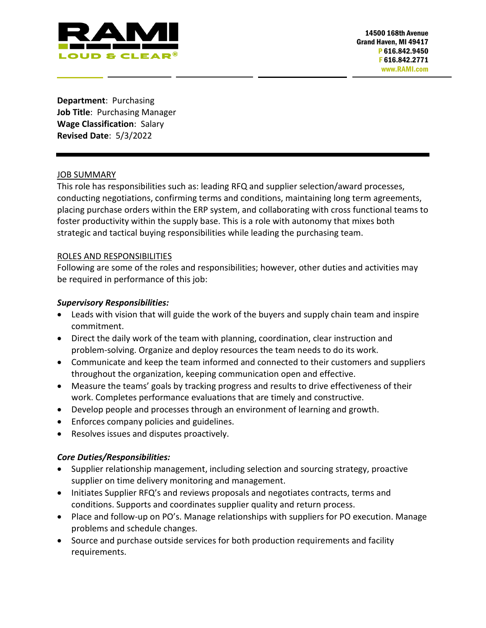

**Department**: Purchasing **Job Title**: Purchasing Manager **Wage Classification**: Salary **Revised Date**: 5/3/2022

### JOB SUMMARY

This role has responsibilities such as: leading RFQ and supplier selection/award processes, conducting negotiations, confirming terms and conditions, maintaining long term agreements, placing purchase orders within the ERP system, and collaborating with cross functional teams to foster productivity within the supply base. This is a role with autonomy that mixes both strategic and tactical buying responsibilities while leading the purchasing team.

### ROLES AND RESPONSIBILITIES

Following are some of the roles and responsibilities; however, other duties and activities may be required in performance of this job:

### *Supervisory Responsibilities:*

- Leads with vision that will guide the work of the buyers and supply chain team and inspire commitment.
- Direct the daily work of the team with planning, coordination, clear instruction and problem-solving. Organize and deploy resources the team needs to do its work.
- Communicate and keep the team informed and connected to their customers and suppliers throughout the organization, keeping communication open and effective.
- Measure the teams' goals by tracking progress and results to drive effectiveness of their work. Completes performance evaluations that are timely and constructive.
- Develop people and processes through an environment of learning and growth.
- Enforces company policies and guidelines.
- Resolves issues and disputes proactively.

### *Core Duties/Responsibilities:*

- Supplier relationship management, including selection and sourcing strategy, proactive supplier on time delivery monitoring and management.
- Initiates Supplier RFQ's and reviews proposals and negotiates contracts, terms and conditions. Supports and coordinates supplier quality and return process.
- Place and follow-up on PO's. Manage relationships with suppliers for PO execution. Manage problems and schedule changes.
- Source and purchase outside services for both production requirements and facility requirements.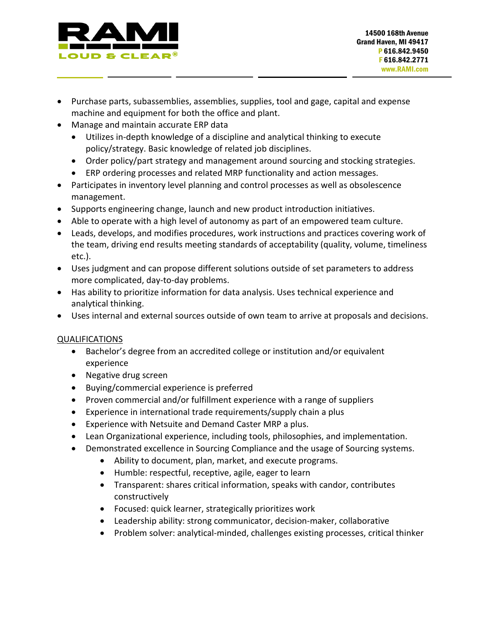

- Purchase parts, subassemblies, assemblies, supplies, tool and gage, capital and expense machine and equipment for both the office and plant.
- Manage and maintain accurate ERP data
	- Utilizes in-depth knowledge of a discipline and analytical thinking to execute policy/strategy. Basic knowledge of related job disciplines.
	- Order policy/part strategy and management around sourcing and stocking strategies.
	- ERP ordering processes and related MRP functionality and action messages.
- Participates in inventory level planning and control processes as well as obsolescence management.
- Supports engineering change, launch and new product introduction initiatives.
- Able to operate with a high level of autonomy as part of an empowered team culture.
- Leads, develops, and modifies procedures, work instructions and practices covering work of the team, driving end results meeting standards of acceptability (quality, volume, timeliness etc.).
- Uses judgment and can propose different solutions outside of set parameters to address more complicated, day-to-day problems.
- Has ability to prioritize information for data analysis. Uses technical experience and analytical thinking.
- Uses internal and external sources outside of own team to arrive at proposals and decisions.

# QUALIFICATIONS

- Bachelor's degree from an accredited college or institution and/or equivalent experience
- Negative drug screen
- Buying/commercial experience is preferred
- Proven commercial and/or fulfillment experience with a range of suppliers
- Experience in international trade requirements/supply chain a plus
- Experience with Netsuite and Demand Caster MRP a plus.
- Lean Organizational experience, including tools, philosophies, and implementation.
- Demonstrated excellence in Sourcing Compliance and the usage of Sourcing systems.
	- Ability to document, plan, market, and execute programs.
	- Humble: respectful, receptive, agile, eager to learn
	- Transparent: shares critical information, speaks with candor, contributes constructively
	- Focused: quick learner, strategically prioritizes work
	- Leadership ability: strong communicator, decision-maker, collaborative
	- Problem solver: analytical-minded, challenges existing processes, critical thinker